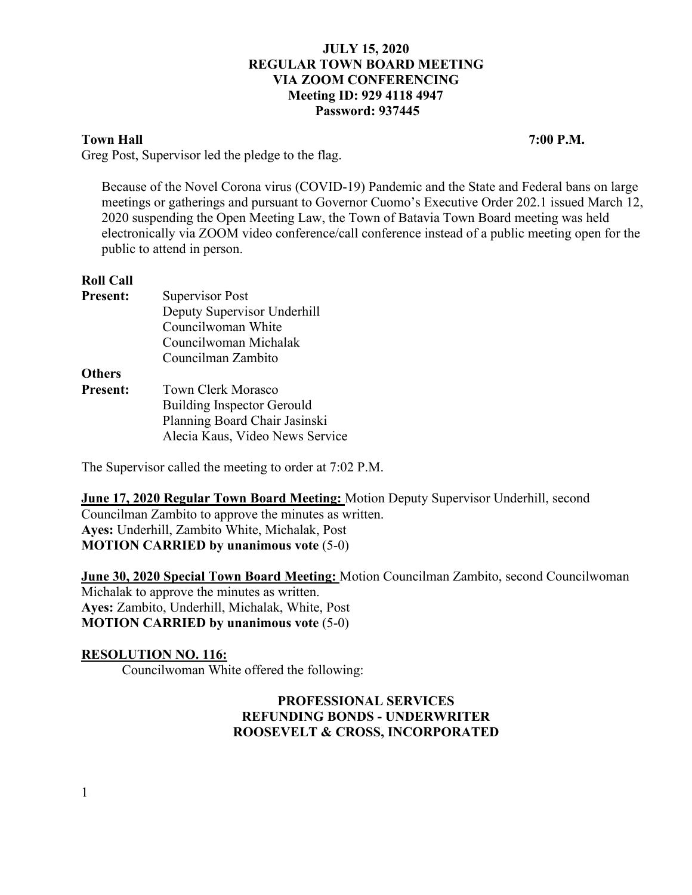# **Town Hall 7:00 P.M.**

Greg Post, Supervisor led the pledge to the flag.

Because of the Novel Corona virus (COVID-19) Pandemic and the State and Federal bans on large meetings or gatherings and pursuant to Governor Cuomo's Executive Order 202.1 issued March 12, 2020 suspending the Open Meeting Law, the Town of Batavia Town Board meeting was held electronically via ZOOM video conference/call conference instead of a public meeting open for the public to attend in person.

## **Roll Call**

| <b>Present:</b> | <b>Supervisor Post</b>            |
|-----------------|-----------------------------------|
|                 | Deputy Supervisor Underhill       |
|                 | Councilwoman White                |
|                 | Councilwoman Michalak             |
|                 | Councilman Zambito                |
| <b>Others</b>   |                                   |
| <b>Present:</b> | Town Clerk Morasco                |
|                 | <b>Building Inspector Gerould</b> |
|                 | Planning Board Chair Jasinski     |
|                 | Alecia Kaus, Video News Service   |

The Supervisor called the meeting to order at 7:02 P.M.

**June 17, 2020 Regular Town Board Meeting:** Motion Deputy Supervisor Underhill, second Councilman Zambito to approve the minutes as written. **Ayes:** Underhill, Zambito White, Michalak, Post **MOTION CARRIED by unanimous vote** (5-0)

**June 30, 2020 Special Town Board Meeting:** Motion Councilman Zambito, second Councilwoman Michalak to approve the minutes as written. **Ayes:** Zambito, Underhill, Michalak, White, Post **MOTION CARRIED by unanimous vote** (5-0)

## **RESOLUTION NO. 116:**

Councilwoman White offered the following:

# **PROFESSIONAL SERVICES REFUNDING BONDS - UNDERWRITER ROOSEVELT & CROSS, INCORPORATED**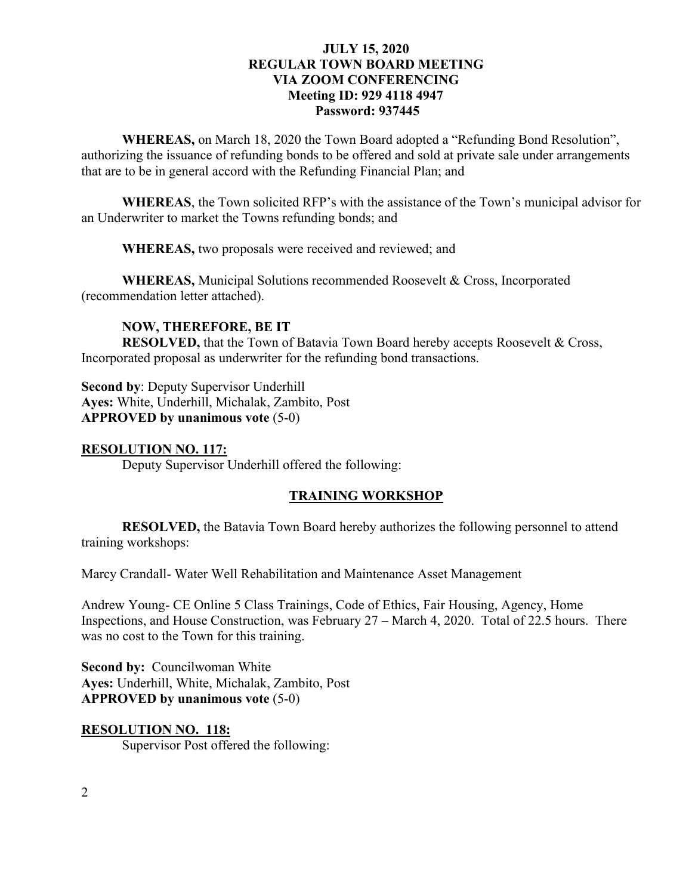**WHEREAS,** on March 18, 2020 the Town Board adopted a "Refunding Bond Resolution", authorizing the issuance of refunding bonds to be offered and sold at private sale under arrangements that are to be in general accord with the Refunding Financial Plan; and

**WHEREAS**, the Town solicited RFP's with the assistance of the Town's municipal advisor for an Underwriter to market the Towns refunding bonds; and

**WHEREAS,** two proposals were received and reviewed; and

**WHEREAS,** Municipal Solutions recommended Roosevelt & Cross, Incorporated (recommendation letter attached).

## **NOW, THEREFORE, BE IT**

**RESOLVED,** that the Town of Batavia Town Board hereby accepts Roosevelt & Cross, Incorporated proposal as underwriter for the refunding bond transactions.

**Second by**: Deputy Supervisor Underhill **Ayes:** White, Underhill, Michalak, Zambito, Post **APPROVED by unanimous vote** (5-0)

**RESOLUTION NO. 117:** Deputy Supervisor Underhill offered the following:

#### **TRAINING WORKSHOP**

**RESOLVED,** the Batavia Town Board hereby authorizes the following personnel to attend training workshops:

Marcy Crandall- Water Well Rehabilitation and Maintenance Asset Management

Andrew Young- CE Online 5 Class Trainings, Code of Ethics, Fair Housing, Agency, Home Inspections, and House Construction, was February 27 – March 4, 2020. Total of 22.5 hours. There was no cost to the Town for this training.

**Second by: Councilwoman White Ayes:** Underhill, White, Michalak, Zambito, Post **APPROVED by unanimous vote** (5-0)

#### **RESOLUTION NO. 118:**

Supervisor Post offered the following: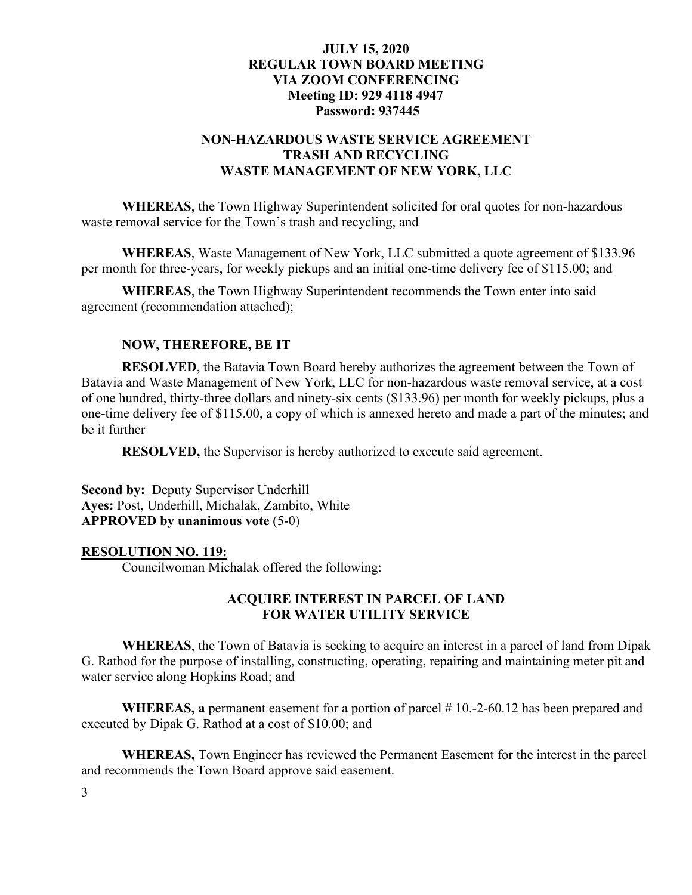# **NON-HAZARDOUS WASTE SERVICE AGREEMENT TRASH AND RECYCLING WASTE MANAGEMENT OF NEW YORK, LLC**

**WHEREAS**, the Town Highway Superintendent solicited for oral quotes for non-hazardous waste removal service for the Town's trash and recycling, and

**WHEREAS**, Waste Management of New York, LLC submitted a quote agreement of \$133.96 per month for three-years, for weekly pickups and an initial one-time delivery fee of \$115.00; and

**WHEREAS**, the Town Highway Superintendent recommends the Town enter into said agreement (recommendation attached);

## **NOW, THEREFORE, BE IT**

**RESOLVED**, the Batavia Town Board hereby authorizes the agreement between the Town of Batavia and Waste Management of New York, LLC for non-hazardous waste removal service, at a cost of one hundred, thirty-three dollars and ninety-six cents (\$133.96) per month for weekly pickups, plus a one-time delivery fee of \$115.00, a copy of which is annexed hereto and made a part of the minutes; and be it further

**RESOLVED,** the Supervisor is hereby authorized to execute said agreement.

**Second by:** Deputy Supervisor Underhill **Ayes:** Post, Underhill, Michalak, Zambito, White **APPROVED by unanimous vote** (5-0)

#### **RESOLUTION NO. 119:**

Councilwoman Michalak offered the following:

### **ACQUIRE INTEREST IN PARCEL OF LAND FOR WATER UTILITY SERVICE**

**WHEREAS**, the Town of Batavia is seeking to acquire an interest in a parcel of land from Dipak G. Rathod for the purpose of installing, constructing, operating, repairing and maintaining meter pit and water service along Hopkins Road; and

**WHEREAS, a** permanent easement for a portion of parcel # 10.-2-60.12 has been prepared and executed by Dipak G. Rathod at a cost of \$10.00; and

**WHEREAS,** Town Engineer has reviewed the Permanent Easement for the interest in the parcel and recommends the Town Board approve said easement.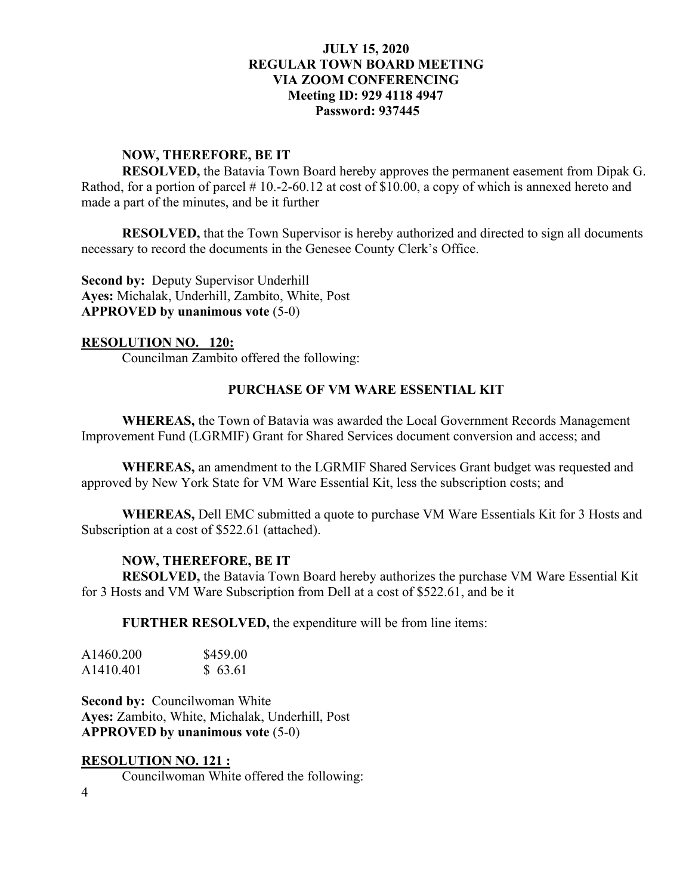### **NOW, THEREFORE, BE IT**

**RESOLVED,** the Batavia Town Board hereby approves the permanent easement from Dipak G. Rathod, for a portion of parcel #10.-2-60.12 at cost of \$10.00, a copy of which is annexed hereto and made a part of the minutes, and be it further

**RESOLVED,** that the Town Supervisor is hereby authorized and directed to sign all documents necessary to record the documents in the Genesee County Clerk's Office.

**Second by:** Deputy Supervisor Underhill **Ayes:** Michalak, Underhill, Zambito, White, Post **APPROVED by unanimous vote** (5-0)

## **RESOLUTION NO. 120:**

Councilman Zambito offered the following:

## **PURCHASE OF VM WARE ESSENTIAL KIT**

**WHEREAS,** the Town of Batavia was awarded the Local Government Records Management Improvement Fund (LGRMIF) Grant for Shared Services document conversion and access; and

**WHEREAS,** an amendment to the LGRMIF Shared Services Grant budget was requested and approved by New York State for VM Ware Essential Kit, less the subscription costs; and

**WHEREAS,** Dell EMC submitted a quote to purchase VM Ware Essentials Kit for 3 Hosts and Subscription at a cost of \$522.61 (attached).

### **NOW, THEREFORE, BE IT**

**RESOLVED,** the Batavia Town Board hereby authorizes the purchase VM Ware Essential Kit for 3 Hosts and VM Ware Subscription from Dell at a cost of \$522.61, and be it

**FURTHER RESOLVED,** the expenditure will be from line items:

| A1460.200             | \$459.00 |
|-----------------------|----------|
| A <sub>1410.401</sub> | \$63.61  |

**Second by: Councilwoman White Ayes:** Zambito, White, Michalak, Underhill, Post **APPROVED by unanimous vote** (5-0)

#### **RESOLUTION NO. 121 :**

Councilwoman White offered the following:

4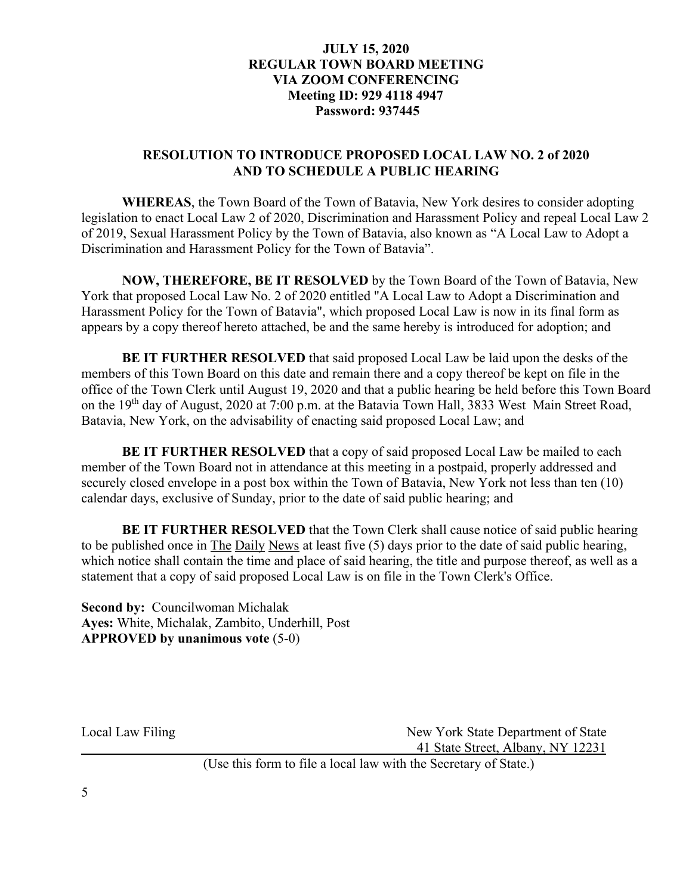# **RESOLUTION TO INTRODUCE PROPOSED LOCAL LAW NO. 2 of 2020 AND TO SCHEDULE A PUBLIC HEARING**

**WHEREAS**, the Town Board of the Town of Batavia, New York desires to consider adopting legislation to enact Local Law 2 of 2020, Discrimination and Harassment Policy and repeal Local Law 2 of 2019, Sexual Harassment Policy by the Town of Batavia, also known as "A Local Law to Adopt a Discrimination and Harassment Policy for the Town of Batavia".

**NOW, THEREFORE, BE IT RESOLVED** by the Town Board of the Town of Batavia, New York that proposed Local Law No. 2 of 2020 entitled "A Local Law to Adopt a Discrimination and Harassment Policy for the Town of Batavia", which proposed Local Law is now in its final form as appears by a copy thereof hereto attached, be and the same hereby is introduced for adoption; and

**BE IT FURTHER RESOLVED** that said proposed Local Law be laid upon the desks of the members of this Town Board on this date and remain there and a copy thereof be kept on file in the office of the Town Clerk until August 19, 2020 and that a public hearing be held before this Town Board on the 19<sup>th</sup> day of August, 2020 at 7:00 p.m. at the Batavia Town Hall, 3833 West Main Street Road, Batavia, New York, on the advisability of enacting said proposed Local Law; and

**BE IT FURTHER RESOLVED** that a copy of said proposed Local Law be mailed to each member of the Town Board not in attendance at this meeting in a postpaid, properly addressed and securely closed envelope in a post box within the Town of Batavia, New York not less than ten (10) calendar days, exclusive of Sunday, prior to the date of said public hearing; and

**BE IT FURTHER RESOLVED** that the Town Clerk shall cause notice of said public hearing to be published once in The Daily News at least five (5) days prior to the date of said public hearing, which notice shall contain the time and place of said hearing, the title and purpose thereof, as well as a statement that a copy of said proposed Local Law is on file in the Town Clerk's Office.

**Second by:** Councilwoman Michalak **Ayes:** White, Michalak, Zambito, Underhill, Post **APPROVED by unanimous vote** (5-0)

Local Law Filing New York State Department of State 41 State Street, Albany, NY 12231 (Use this form to file a local law with the Secretary of State.)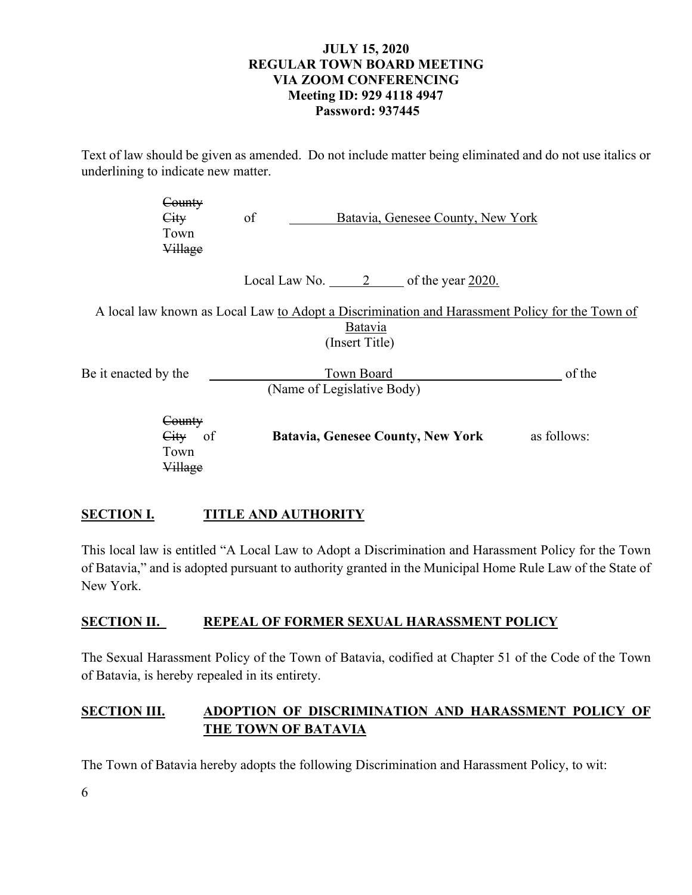Text of law should be given as amended. Do not include matter being eliminated and do not use italics or underlining to indicate new matter.

|                      | <del>Countv</del><br>City<br>Town<br>Village     | of<br>Batavia, Genesee County, New York                                                                                     |             |
|----------------------|--------------------------------------------------|-----------------------------------------------------------------------------------------------------------------------------|-------------|
|                      |                                                  | Local Law No. $\qquad 2 \qquad$ of the year 2020.                                                                           |             |
|                      |                                                  | A local law known as Local Law to Adopt a Discrimination and Harassment Policy for the Town of<br>Batavia<br>(Insert Title) |             |
| Be it enacted by the |                                                  | Town Board<br>(Name of Legislative Body)                                                                                    | of the      |
|                      | <del>County</del><br><b>City</b><br>- of<br>Town | <b>Batavia, Genesee County, New York</b>                                                                                    | as follows: |

# **SECTION I. TITLE AND AUTHORITY**

Village

This local law is entitled "A Local Law to Adopt a Discrimination and Harassment Policy for the Town of Batavia," and is adopted pursuant to authority granted in the Municipal Home Rule Law of the State of New York.

# **SECTION II. REPEAL OF FORMER SEXUAL HARASSMENT POLICY**

The Sexual Harassment Policy of the Town of Batavia, codified at Chapter 51 of the Code of the Town of Batavia, is hereby repealed in its entirety.

# **SECTION III. ADOPTION OF DISCRIMINATION AND HARASSMENT POLICY OF THE TOWN OF BATAVIA**

The Town of Batavia hereby adopts the following Discrimination and Harassment Policy, to wit: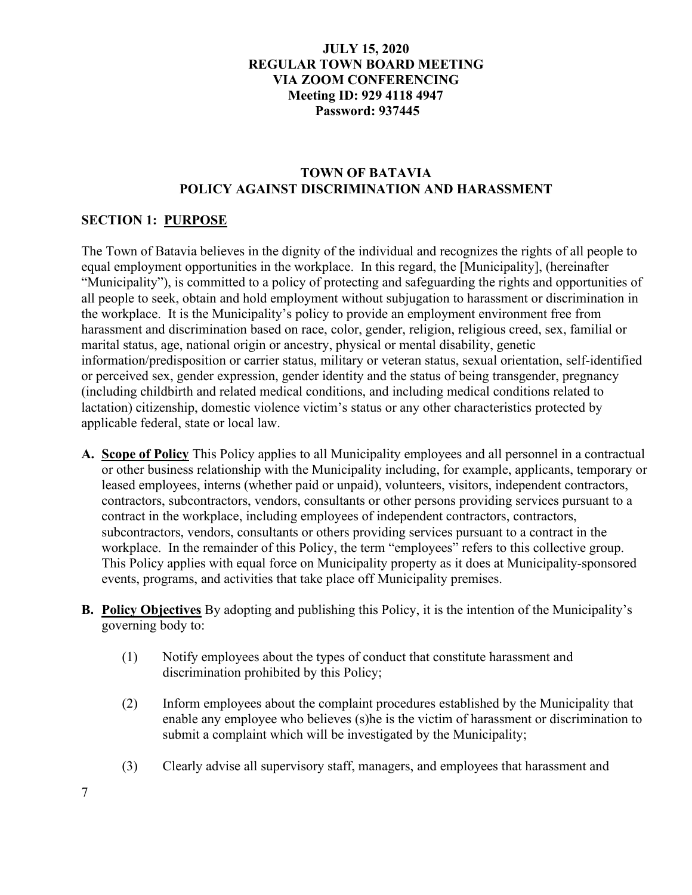# **TOWN OF BATAVIA POLICY AGAINST DISCRIMINATION AND HARASSMENT**

# **SECTION 1: PURPOSE**

The Town of Batavia believes in the dignity of the individual and recognizes the rights of all people to equal employment opportunities in the workplace. In this regard, the [Municipality], (hereinafter "Municipality"), is committed to a policy of protecting and safeguarding the rights and opportunities of all people to seek, obtain and hold employment without subjugation to harassment or discrimination in the workplace. It is the Municipality's policy to provide an employment environment free from harassment and discrimination based on race, color, gender, religion, religious creed, sex, familial or marital status, age, national origin or ancestry, physical or mental disability, genetic information/predisposition or carrier status, military or veteran status, sexual orientation, self-identified or perceived sex, gender expression, gender identity and the status of being transgender, pregnancy (including childbirth and related medical conditions, and including medical conditions related to lactation) citizenship, domestic violence victim's status or any other characteristics protected by applicable federal, state or local law.

- **A. Scope of Policy** This Policy applies to all Municipality employees and all personnel in a contractual or other business relationship with the Municipality including, for example, applicants, temporary or leased employees, interns (whether paid or unpaid), volunteers, visitors, independent contractors, contractors, subcontractors, vendors, consultants or other persons providing services pursuant to a contract in the workplace, including employees of independent contractors, contractors, subcontractors, vendors, consultants or others providing services pursuant to a contract in the workplace. In the remainder of this Policy, the term "employees" refers to this collective group. This Policy applies with equal force on Municipality property as it does at Municipality-sponsored events, programs, and activities that take place off Municipality premises.
- **B. Policy Objectives** By adopting and publishing this Policy, it is the intention of the Municipality's governing body to:
	- (1) Notify employees about the types of conduct that constitute harassment and discrimination prohibited by this Policy;
	- (2) Inform employees about the complaint procedures established by the Municipality that enable any employee who believes (s)he is the victim of harassment or discrimination to submit a complaint which will be investigated by the Municipality;
	- (3) Clearly advise all supervisory staff, managers, and employees that harassment and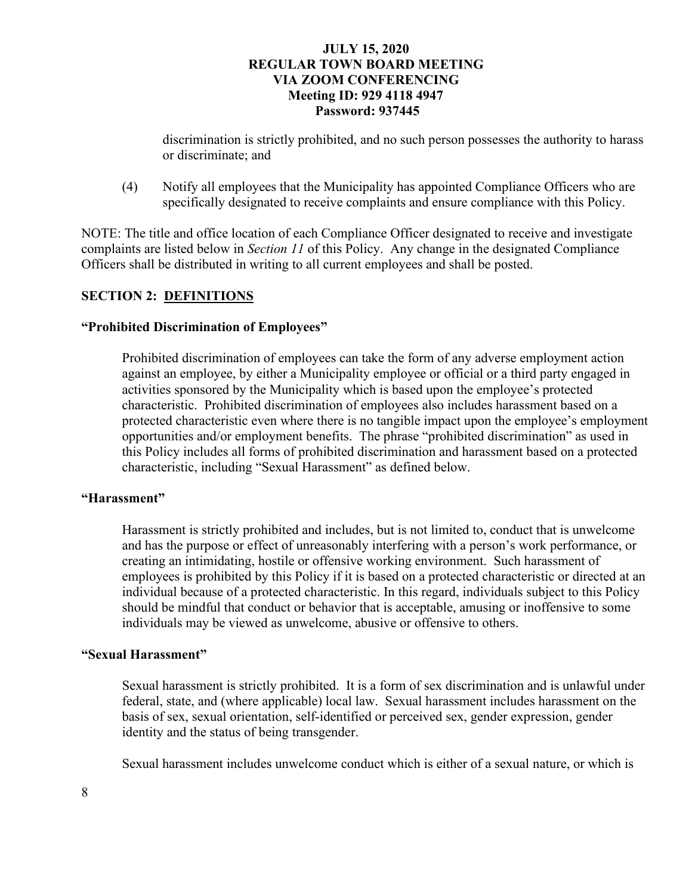discrimination is strictly prohibited, and no such person possesses the authority to harass or discriminate; and

(4) Notify all employees that the Municipality has appointed Compliance Officers who are specifically designated to receive complaints and ensure compliance with this Policy.

NOTE: The title and office location of each Compliance Officer designated to receive and investigate complaints are listed below in *Section 11* of this Policy. Any change in the designated Compliance Officers shall be distributed in writing to all current employees and shall be posted.

# **SECTION 2: DEFINITIONS**

### **"Prohibited Discrimination of Employees"**

Prohibited discrimination of employees can take the form of any adverse employment action against an employee, by either a Municipality employee or official or a third party engaged in activities sponsored by the Municipality which is based upon the employee's protected characteristic. Prohibited discrimination of employees also includes harassment based on a protected characteristic even where there is no tangible impact upon the employee's employment opportunities and/or employment benefits. The phrase "prohibited discrimination" as used in this Policy includes all forms of prohibited discrimination and harassment based on a protected characteristic, including "Sexual Harassment" as defined below.

### **"Harassment"**

Harassment is strictly prohibited and includes, but is not limited to, conduct that is unwelcome and has the purpose or effect of unreasonably interfering with a person's work performance, or creating an intimidating, hostile or offensive working environment. Such harassment of employees is prohibited by this Policy if it is based on a protected characteristic or directed at an individual because of a protected characteristic. In this regard, individuals subject to this Policy should be mindful that conduct or behavior that is acceptable, amusing or inoffensive to some individuals may be viewed as unwelcome, abusive or offensive to others.

## **"Sexual Harassment"**

Sexual harassment is strictly prohibited. It is a form of sex discrimination and is unlawful under federal, state, and (where applicable) local law. Sexual harassment includes harassment on the basis of sex, sexual orientation, self-identified or perceived sex, gender expression, gender identity and the status of being transgender.

Sexual harassment includes unwelcome conduct which is either of a sexual nature, or which is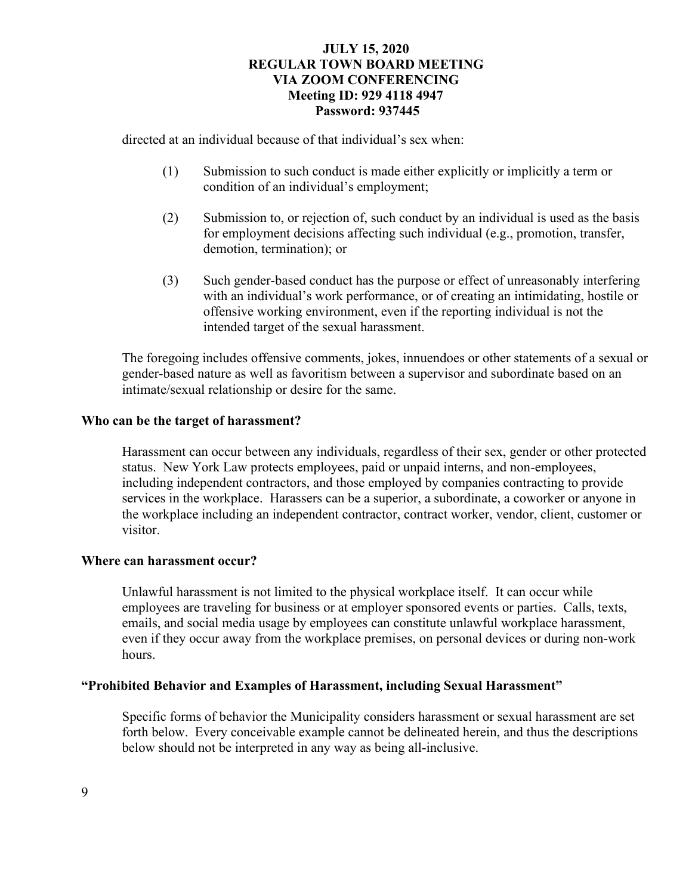directed at an individual because of that individual's sex when:

- (1) Submission to such conduct is made either explicitly or implicitly a term or condition of an individual's employment;
- (2) Submission to, or rejection of, such conduct by an individual is used as the basis for employment decisions affecting such individual (e.g., promotion, transfer, demotion, termination); or
- (3) Such gender-based conduct has the purpose or effect of unreasonably interfering with an individual's work performance, or of creating an intimidating, hostile or offensive working environment, even if the reporting individual is not the intended target of the sexual harassment.

 The foregoing includes offensive comments, jokes, innuendoes or other statements of a sexual or gender-based nature as well as favoritism between a supervisor and subordinate based on an intimate/sexual relationship or desire for the same.

## **Who can be the target of harassment?**

 Harassment can occur between any individuals, regardless of their sex, gender or other protected status. New York Law protects employees, paid or unpaid interns, and non-employees, including independent contractors, and those employed by companies contracting to provide services in the workplace. Harassers can be a superior, a subordinate, a coworker or anyone in the workplace including an independent contractor, contract worker, vendor, client, customer or visitor.

## **Where can harassment occur?**

Unlawful harassment is not limited to the physical workplace itself. It can occur while employees are traveling for business or at employer sponsored events or parties. Calls, texts, emails, and social media usage by employees can constitute unlawful workplace harassment, even if they occur away from the workplace premises, on personal devices or during non-work hours.

### **"Prohibited Behavior and Examples of Harassment, including Sexual Harassment"**

 Specific forms of behavior the Municipality considers harassment or sexual harassment are set forth below. Every conceivable example cannot be delineated herein, and thus the descriptions below should not be interpreted in any way as being all-inclusive.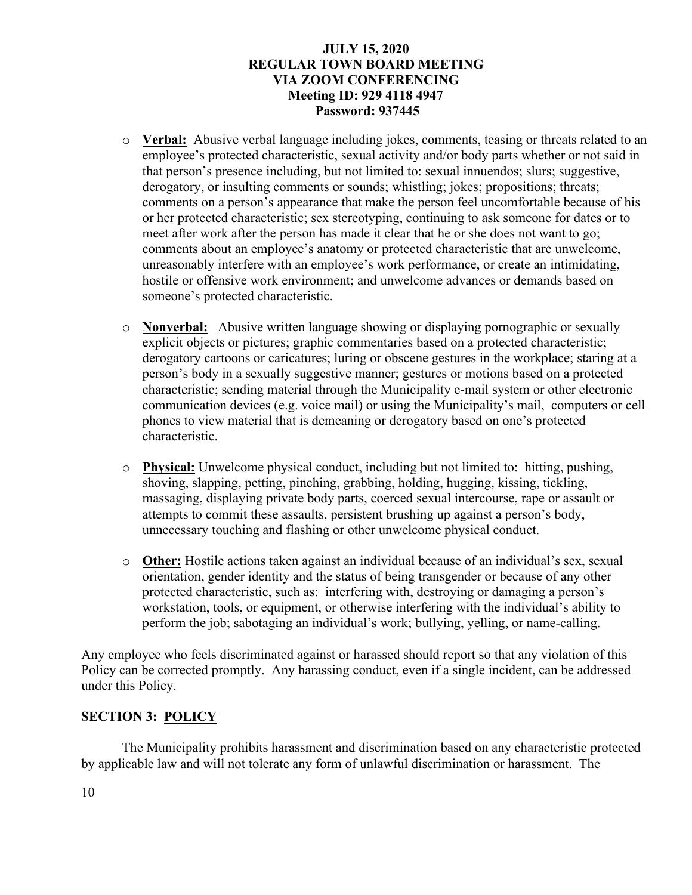- o **Verbal:** Abusive verbal language including jokes, comments, teasing or threats related to an employee's protected characteristic, sexual activity and/or body parts whether or not said in that person's presence including, but not limited to: sexual innuendos; slurs; suggestive, derogatory, or insulting comments or sounds; whistling; jokes; propositions; threats; comments on a person's appearance that make the person feel uncomfortable because of his or her protected characteristic; sex stereotyping, continuing to ask someone for dates or to meet after work after the person has made it clear that he or she does not want to go; comments about an employee's anatomy or protected characteristic that are unwelcome, unreasonably interfere with an employee's work performance, or create an intimidating, hostile or offensive work environment; and unwelcome advances or demands based on someone's protected characteristic.
- o **Nonverbal:** Abusive written language showing or displaying pornographic or sexually explicit objects or pictures; graphic commentaries based on a protected characteristic; derogatory cartoons or caricatures; luring or obscene gestures in the workplace; staring at a person's body in a sexually suggestive manner; gestures or motions based on a protected characteristic; sending material through the Municipality e-mail system or other electronic communication devices (e.g. voice mail) or using the Municipality's mail, computers or cell phones to view material that is demeaning or derogatory based on one's protected characteristic.
- o **Physical:** Unwelcome physical conduct, including but not limited to: hitting, pushing, shoving, slapping, petting, pinching, grabbing, holding, hugging, kissing, tickling, massaging, displaying private body parts, coerced sexual intercourse, rape or assault or attempts to commit these assaults, persistent brushing up against a person's body, unnecessary touching and flashing or other unwelcome physical conduct.
- o **Other:** Hostile actions taken against an individual because of an individual's sex, sexual orientation, gender identity and the status of being transgender or because of any other protected characteristic, such as: interfering with, destroying or damaging a person's workstation, tools, or equipment, or otherwise interfering with the individual's ability to perform the job; sabotaging an individual's work; bullying, yelling, or name-calling.

Any employee who feels discriminated against or harassed should report so that any violation of this Policy can be corrected promptly. Any harassing conduct, even if a single incident, can be addressed under this Policy.

# **SECTION 3: POLICY**

 The Municipality prohibits harassment and discrimination based on any characteristic protected by applicable law and will not tolerate any form of unlawful discrimination or harassment. The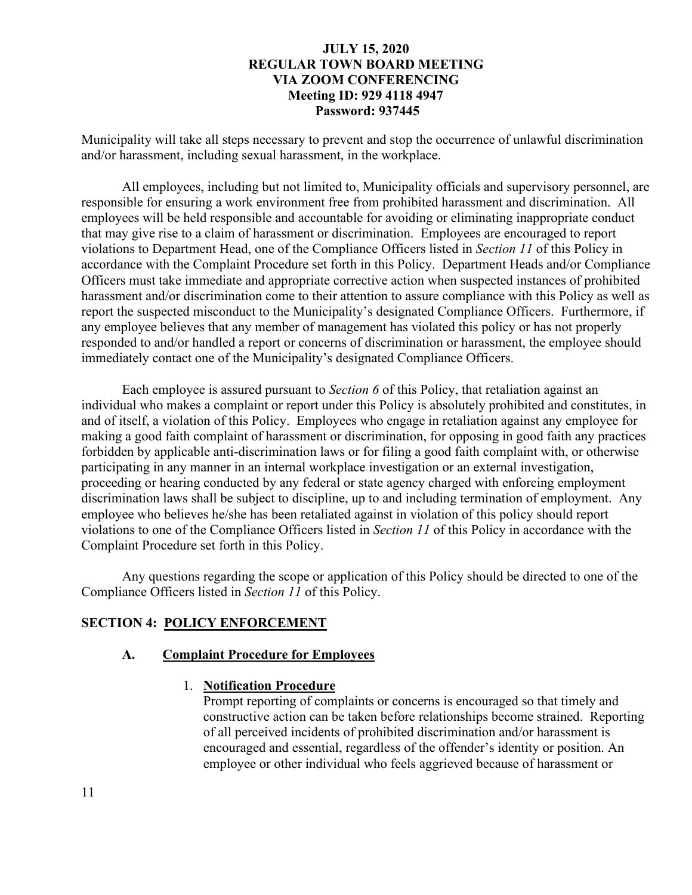Municipality will take all steps necessary to prevent and stop the occurrence of unlawful discrimination and/or harassment, including sexual harassment, in the workplace.

 All employees, including but not limited to, Municipality officials and supervisory personnel, are responsible for ensuring a work environment free from prohibited harassment and discrimination. All employees will be held responsible and accountable for avoiding or eliminating inappropriate conduct that may give rise to a claim of harassment or discrimination. Employees are encouraged to report violations to Department Head, one of the Compliance Officers listed in *Section 11* of this Policy in accordance with the Complaint Procedure set forth in this Policy. Department Heads and/or Compliance Officers must take immediate and appropriate corrective action when suspected instances of prohibited harassment and/or discrimination come to their attention to assure compliance with this Policy as well as report the suspected misconduct to the Municipality's designated Compliance Officers. Furthermore, if any employee believes that any member of management has violated this policy or has not properly responded to and/or handled a report or concerns of discrimination or harassment, the employee should immediately contact one of the Municipality's designated Compliance Officers.

 Each employee is assured pursuant to *Section 6* of this Policy, that retaliation against an individual who makes a complaint or report under this Policy is absolutely prohibited and constitutes, in and of itself, a violation of this Policy. Employees who engage in retaliation against any employee for making a good faith complaint of harassment or discrimination, for opposing in good faith any practices forbidden by applicable anti-discrimination laws or for filing a good faith complaint with, or otherwise participating in any manner in an internal workplace investigation or an external investigation, proceeding or hearing conducted by any federal or state agency charged with enforcing employment discrimination laws shall be subject to discipline, up to and including termination of employment. Any employee who believes he/she has been retaliated against in violation of this policy should report violations to one of the Compliance Officers listed in *Section 11* of this Policy in accordance with the Complaint Procedure set forth in this Policy.

 Any questions regarding the scope or application of this Policy should be directed to one of the Compliance Officers listed in *Section 11* of this Policy.

# **SECTION 4: POLICY ENFORCEMENT**

#### **A. Complaint Procedure for Employees**

#### 1. **Notification Procedure**

Prompt reporting of complaints or concerns is encouraged so that timely and constructive action can be taken before relationships become strained. Reporting of all perceived incidents of prohibited discrimination and/or harassment is encouraged and essential, regardless of the offender's identity or position. An employee or other individual who feels aggrieved because of harassment or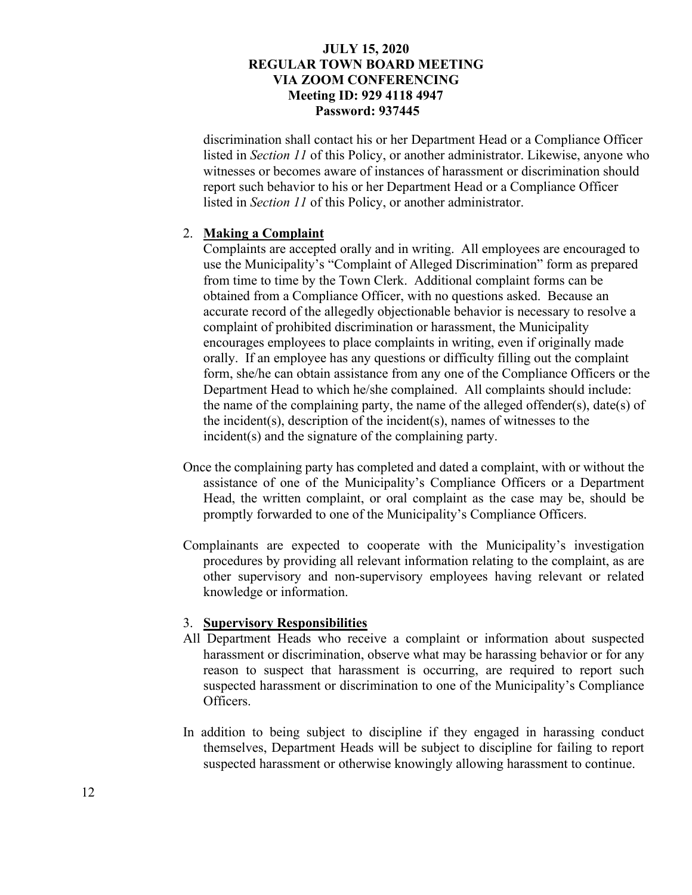discrimination shall contact his or her Department Head or a Compliance Officer listed in *Section 11* of this Policy, or another administrator. Likewise, anyone who witnesses or becomes aware of instances of harassment or discrimination should report such behavior to his or her Department Head or a Compliance Officer listed in *Section 11* of this Policy, or another administrator.

#### 2. **Making a Complaint**

Complaints are accepted orally and in writing. All employees are encouraged to use the Municipality's "Complaint of Alleged Discrimination" form as prepared from time to time by the Town Clerk. Additional complaint forms can be obtained from a Compliance Officer, with no questions asked. Because an accurate record of the allegedly objectionable behavior is necessary to resolve a complaint of prohibited discrimination or harassment, the Municipality encourages employees to place complaints in writing, even if originally made orally. If an employee has any questions or difficulty filling out the complaint form, she/he can obtain assistance from any one of the Compliance Officers or the Department Head to which he/she complained. All complaints should include: the name of the complaining party, the name of the alleged offender(s), date(s) of the incident(s), description of the incident(s), names of witnesses to the incident(s) and the signature of the complaining party.

- Once the complaining party has completed and dated a complaint, with or without the assistance of one of the Municipality's Compliance Officers or a Department Head, the written complaint, or oral complaint as the case may be, should be promptly forwarded to one of the Municipality's Compliance Officers.
- Complainants are expected to cooperate with the Municipality's investigation procedures by providing all relevant information relating to the complaint, as are other supervisory and non-supervisory employees having relevant or related knowledge or information.

#### 3. **Supervisory Responsibilities**

- All Department Heads who receive a complaint or information about suspected harassment or discrimination, observe what may be harassing behavior or for any reason to suspect that harassment is occurring, are required to report such suspected harassment or discrimination to one of the Municipality's Compliance Officers.
- In addition to being subject to discipline if they engaged in harassing conduct themselves, Department Heads will be subject to discipline for failing to report suspected harassment or otherwise knowingly allowing harassment to continue.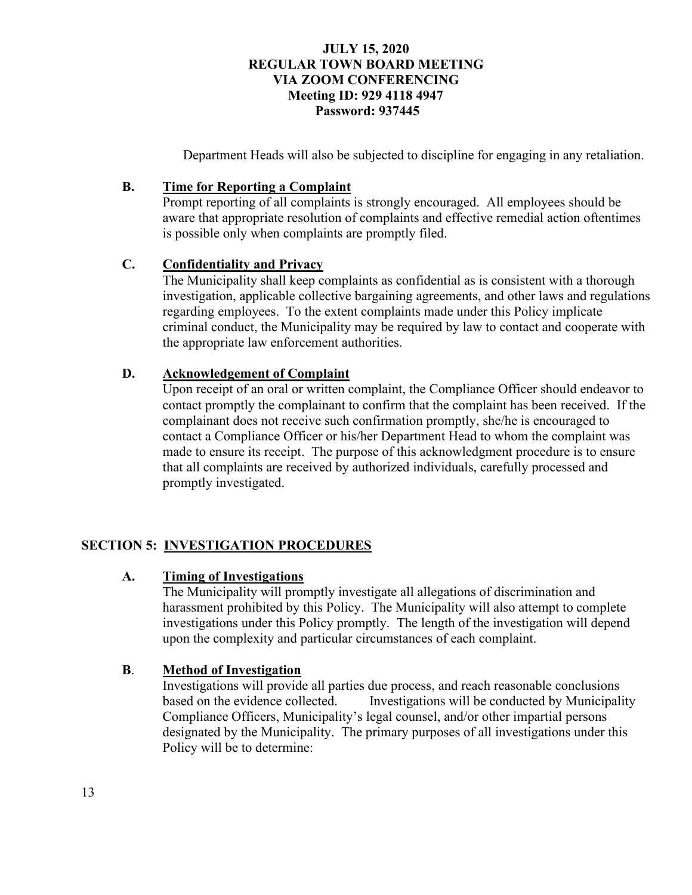Department Heads will also be subjected to discipline for engaging in any retaliation.

# **B. Time for Reporting a Complaint**

Prompt reporting of all complaints is strongly encouraged. All employees should be aware that appropriate resolution of complaints and effective remedial action oftentimes is possible only when complaints are promptly filed.

# **C. Confidentiality and Privacy**

The Municipality shall keep complaints as confidential as is consistent with a thorough investigation, applicable collective bargaining agreements, and other laws and regulations regarding employees. To the extent complaints made under this Policy implicate criminal conduct, the Municipality may be required by law to contact and cooperate with the appropriate law enforcement authorities.

# **D. Acknowledgement of Complaint**

Upon receipt of an oral or written complaint, the Compliance Officer should endeavor to contact promptly the complainant to confirm that the complaint has been received. If the complainant does not receive such confirmation promptly, she/he is encouraged to contact a Compliance Officer or his/her Department Head to whom the complaint was made to ensure its receipt. The purpose of this acknowledgment procedure is to ensure that all complaints are received by authorized individuals, carefully processed and promptly investigated.

# **SECTION 5: INVESTIGATION PROCEDURES**

# **A. Timing of Investigations**

The Municipality will promptly investigate all allegations of discrimination and harassment prohibited by this Policy. The Municipality will also attempt to complete investigations under this Policy promptly. The length of the investigation will depend upon the complexity and particular circumstances of each complaint.

# **B**. **Method of Investigation**

 Investigations will provide all parties due process, and reach reasonable conclusions based on the evidence collected. Investigations will be conducted by Municipality Compliance Officers, Municipality's legal counsel, and/or other impartial persons designated by the Municipality. The primary purposes of all investigations under this Policy will be to determine: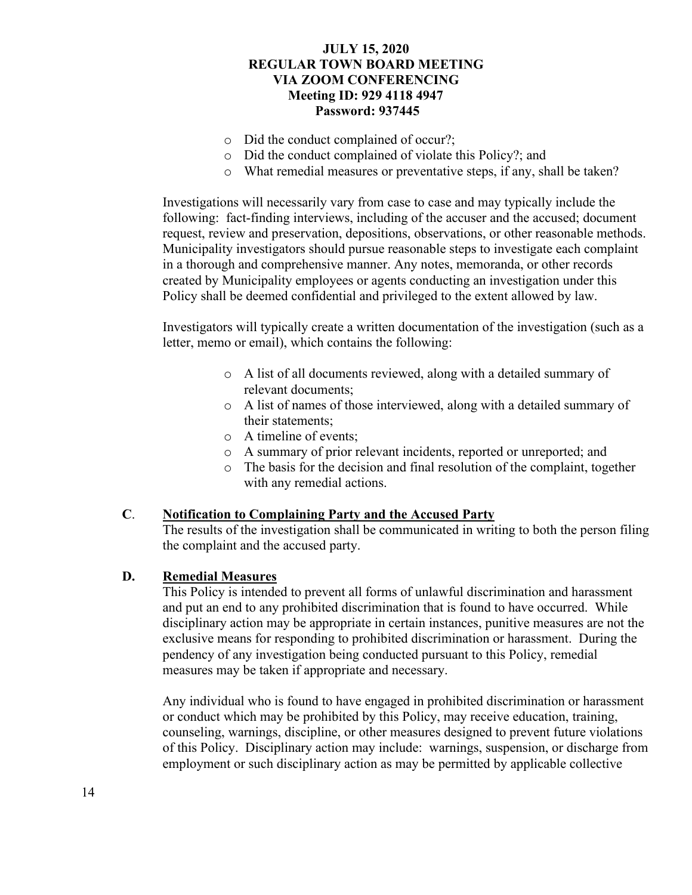- o Did the conduct complained of occur?;
- o Did the conduct complained of violate this Policy?; and
- o What remedial measures or preventative steps, if any, shall be taken?

Investigations will necessarily vary from case to case and may typically include the following: fact-finding interviews, including of the accuser and the accused; document request, review and preservation, depositions, observations, or other reasonable methods. Municipality investigators should pursue reasonable steps to investigate each complaint in a thorough and comprehensive manner. Any notes, memoranda, or other records created by Municipality employees or agents conducting an investigation under this Policy shall be deemed confidential and privileged to the extent allowed by law.

Investigators will typically create a written documentation of the investigation (such as a letter, memo or email), which contains the following:

- o A list of all documents reviewed, along with a detailed summary of relevant documents;
- o A list of names of those interviewed, along with a detailed summary of their statements;
- o A timeline of events;
- o A summary of prior relevant incidents, reported or unreported; and
- o The basis for the decision and final resolution of the complaint, together with any remedial actions.

## **C**. **Notification to Complaining Party and the Accused Party**

The results of the investigation shall be communicated in writing to both the person filing the complaint and the accused party.

## **D. Remedial Measures**

This Policy is intended to prevent all forms of unlawful discrimination and harassment and put an end to any prohibited discrimination that is found to have occurred. While disciplinary action may be appropriate in certain instances, punitive measures are not the exclusive means for responding to prohibited discrimination or harassment. During the pendency of any investigation being conducted pursuant to this Policy, remedial measures may be taken if appropriate and necessary.

Any individual who is found to have engaged in prohibited discrimination or harassment or conduct which may be prohibited by this Policy, may receive education, training, counseling, warnings, discipline, or other measures designed to prevent future violations of this Policy. Disciplinary action may include: warnings, suspension, or discharge from employment or such disciplinary action as may be permitted by applicable collective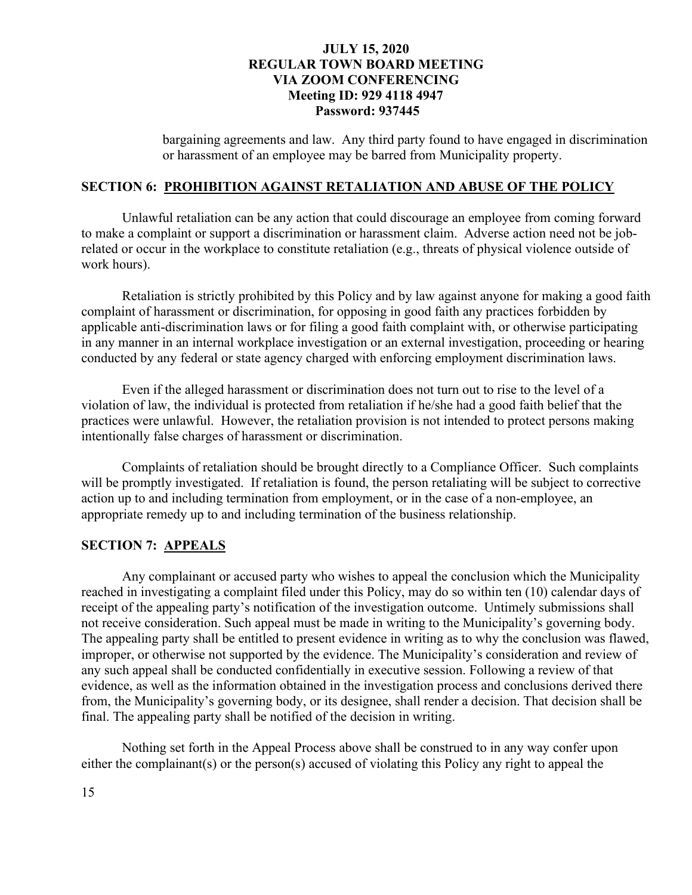bargaining agreements and law. Any third party found to have engaged in discrimination or harassment of an employee may be barred from Municipality property.

### **SECTION 6: PROHIBITION AGAINST RETALIATION AND ABUSE OF THE POLICY**

 Unlawful retaliation can be any action that could discourage an employee from coming forward to make a complaint or support a discrimination or harassment claim. Adverse action need not be jobrelated or occur in the workplace to constitute retaliation (e.g., threats of physical violence outside of work hours).

 Retaliation is strictly prohibited by this Policy and by law against anyone for making a good faith complaint of harassment or discrimination, for opposing in good faith any practices forbidden by applicable anti-discrimination laws or for filing a good faith complaint with, or otherwise participating in any manner in an internal workplace investigation or an external investigation, proceeding or hearing conducted by any federal or state agency charged with enforcing employment discrimination laws.

 Even if the alleged harassment or discrimination does not turn out to rise to the level of a violation of law, the individual is protected from retaliation if he/she had a good faith belief that the practices were unlawful. However, the retaliation provision is not intended to protect persons making intentionally false charges of harassment or discrimination.

 Complaints of retaliation should be brought directly to a Compliance Officer. Such complaints will be promptly investigated. If retaliation is found, the person retaliating will be subject to corrective action up to and including termination from employment, or in the case of a non-employee, an appropriate remedy up to and including termination of the business relationship.

### **SECTION 7: APPEALS**

 Any complainant or accused party who wishes to appeal the conclusion which the Municipality reached in investigating a complaint filed under this Policy, may do so within ten (10) calendar days of receipt of the appealing party's notification of the investigation outcome. Untimely submissions shall not receive consideration. Such appeal must be made in writing to the Municipality's governing body. The appealing party shall be entitled to present evidence in writing as to why the conclusion was flawed, improper, or otherwise not supported by the evidence. The Municipality's consideration and review of any such appeal shall be conducted confidentially in executive session. Following a review of that evidence, as well as the information obtained in the investigation process and conclusions derived there from, the Municipality's governing body, or its designee, shall render a decision. That decision shall be final. The appealing party shall be notified of the decision in writing.

 Nothing set forth in the Appeal Process above shall be construed to in any way confer upon either the complainant(s) or the person(s) accused of violating this Policy any right to appeal the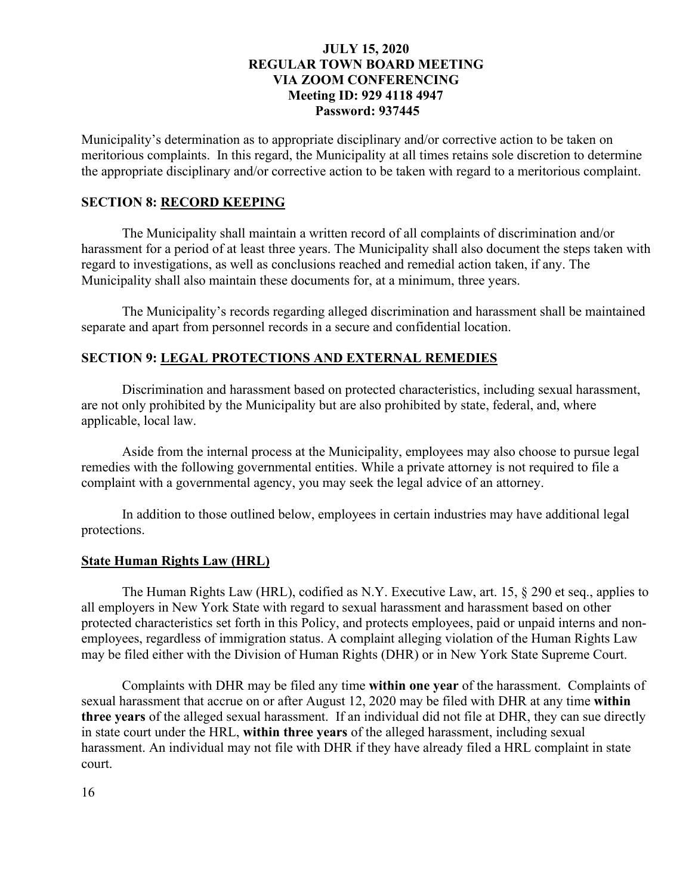Municipality's determination as to appropriate disciplinary and/or corrective action to be taken on meritorious complaints. In this regard, the Municipality at all times retains sole discretion to determine the appropriate disciplinary and/or corrective action to be taken with regard to a meritorious complaint.

### **SECTION 8: RECORD KEEPING**

The Municipality shall maintain a written record of all complaints of discrimination and/or harassment for a period of at least three years. The Municipality shall also document the steps taken with regard to investigations, as well as conclusions reached and remedial action taken, if any. The Municipality shall also maintain these documents for, at a minimum, three years.

 The Municipality's records regarding alleged discrimination and harassment shall be maintained separate and apart from personnel records in a secure and confidential location.

### **SECTION 9: LEGAL PROTECTIONS AND EXTERNAL REMEDIES**

Discrimination and harassment based on protected characteristics, including sexual harassment, are not only prohibited by the Municipality but are also prohibited by state, federal, and, where applicable, local law.

 Aside from the internal process at the Municipality, employees may also choose to pursue legal remedies with the following governmental entities. While a private attorney is not required to file a complaint with a governmental agency, you may seek the legal advice of an attorney.

In addition to those outlined below, employees in certain industries may have additional legal protections.

#### **State Human Rights Law (HRL)**

The Human Rights Law (HRL), codified as N.Y. Executive Law, art. 15, § 290 et seq., applies to all employers in New York State with regard to sexual harassment and harassment based on other protected characteristics set forth in this Policy, and protects employees, paid or unpaid interns and nonemployees, regardless of immigration status. A complaint alleging violation of the Human Rights Law may be filed either with the Division of Human Rights (DHR) or in New York State Supreme Court.

Complaints with DHR may be filed any time **within one year** of the harassment. Complaints of sexual harassment that accrue on or after August 12, 2020 may be filed with DHR at any time **within three years** of the alleged sexual harassment. If an individual did not file at DHR, they can sue directly in state court under the HRL, **within three years** of the alleged harassment, including sexual harassment. An individual may not file with DHR if they have already filed a HRL complaint in state court.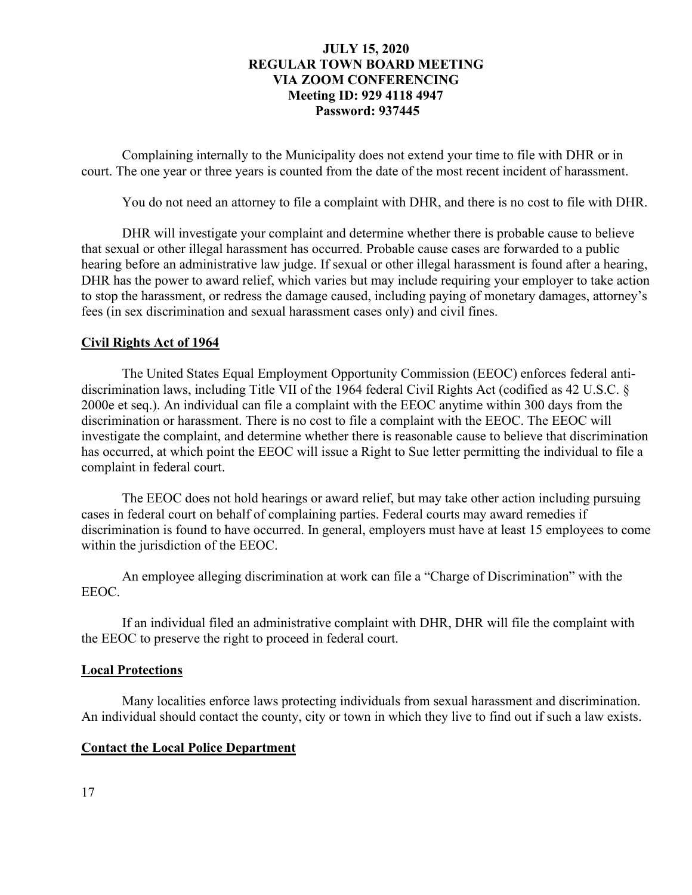Complaining internally to the Municipality does not extend your time to file with DHR or in court. The one year or three years is counted from the date of the most recent incident of harassment.

You do not need an attorney to file a complaint with DHR, and there is no cost to file with DHR.

DHR will investigate your complaint and determine whether there is probable cause to believe that sexual or other illegal harassment has occurred. Probable cause cases are forwarded to a public hearing before an administrative law judge. If sexual or other illegal harassment is found after a hearing, DHR has the power to award relief, which varies but may include requiring your employer to take action to stop the harassment, or redress the damage caused, including paying of monetary damages, attorney's fees (in sex discrimination and sexual harassment cases only) and civil fines.

### **Civil Rights Act of 1964**

The United States Equal Employment Opportunity Commission (EEOC) enforces federal antidiscrimination laws, including Title VII of the 1964 federal Civil Rights Act (codified as 42 U.S.C. § 2000e et seq.). An individual can file a complaint with the EEOC anytime within 300 days from the discrimination or harassment. There is no cost to file a complaint with the EEOC. The EEOC will investigate the complaint, and determine whether there is reasonable cause to believe that discrimination has occurred, at which point the EEOC will issue a Right to Sue letter permitting the individual to file a complaint in federal court.

The EEOC does not hold hearings or award relief, but may take other action including pursuing cases in federal court on behalf of complaining parties. Federal courts may award remedies if discrimination is found to have occurred. In general, employers must have at least 15 employees to come within the jurisdiction of the EEOC.

An employee alleging discrimination at work can file a "Charge of Discrimination" with the EEOC.

If an individual filed an administrative complaint with DHR, DHR will file the complaint with the EEOC to preserve the right to proceed in federal court.

#### **Local Protections**

Many localities enforce laws protecting individuals from sexual harassment and discrimination. An individual should contact the county, city or town in which they live to find out if such a law exists.

#### **Contact the Local Police Department**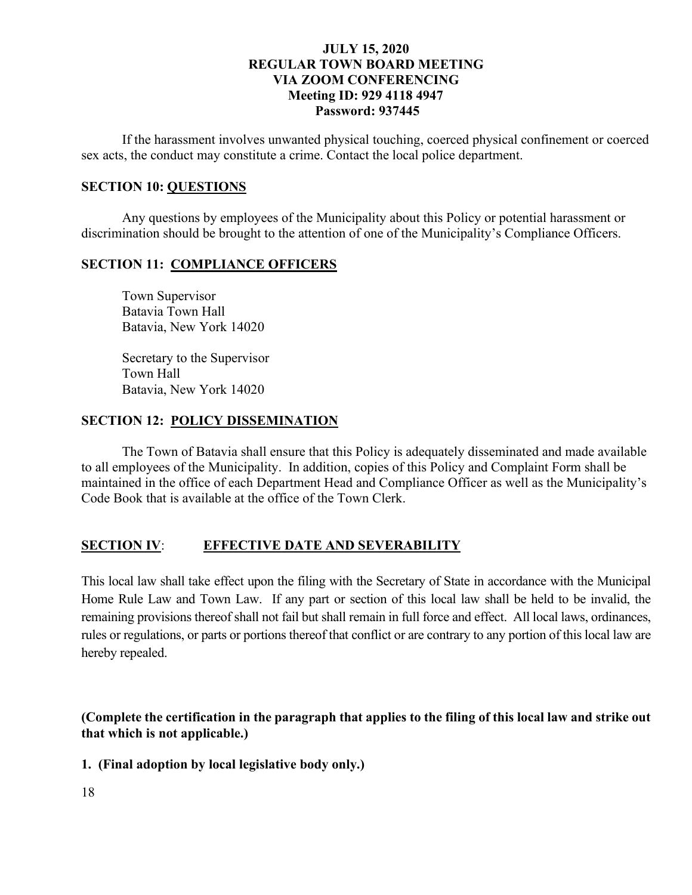If the harassment involves unwanted physical touching, coerced physical confinement or coerced sex acts, the conduct may constitute a crime. Contact the local police department.

# **SECTION 10: QUESTIONS**

 Any questions by employees of the Municipality about this Policy or potential harassment or discrimination should be brought to the attention of one of the Municipality's Compliance Officers.

### **SECTION 11: COMPLIANCE OFFICERS**

 Town Supervisor Batavia Town Hall Batavia, New York 14020

 Secretary to the Supervisor Town Hall Batavia, New York 14020

### **SECTION 12: POLICY DISSEMINATION**

 The Town of Batavia shall ensure that this Policy is adequately disseminated and made available to all employees of the Municipality. In addition, copies of this Policy and Complaint Form shall be maintained in the office of each Department Head and Compliance Officer as well as the Municipality's Code Book that is available at the office of the Town Clerk.

## **SECTION IV**: **EFFECTIVE DATE AND SEVERABILITY**

This local law shall take effect upon the filing with the Secretary of State in accordance with the Municipal Home Rule Law and Town Law. If any part or section of this local law shall be held to be invalid, the remaining provisions thereof shall not fail but shall remain in full force and effect. All local laws, ordinances, rules or regulations, or parts or portions thereof that conflict or are contrary to any portion of this local law are hereby repealed.

**(Complete the certification in the paragraph that applies to the filing of this local law and strike out that which is not applicable.)**

**1. (Final adoption by local legislative body only.)** 

18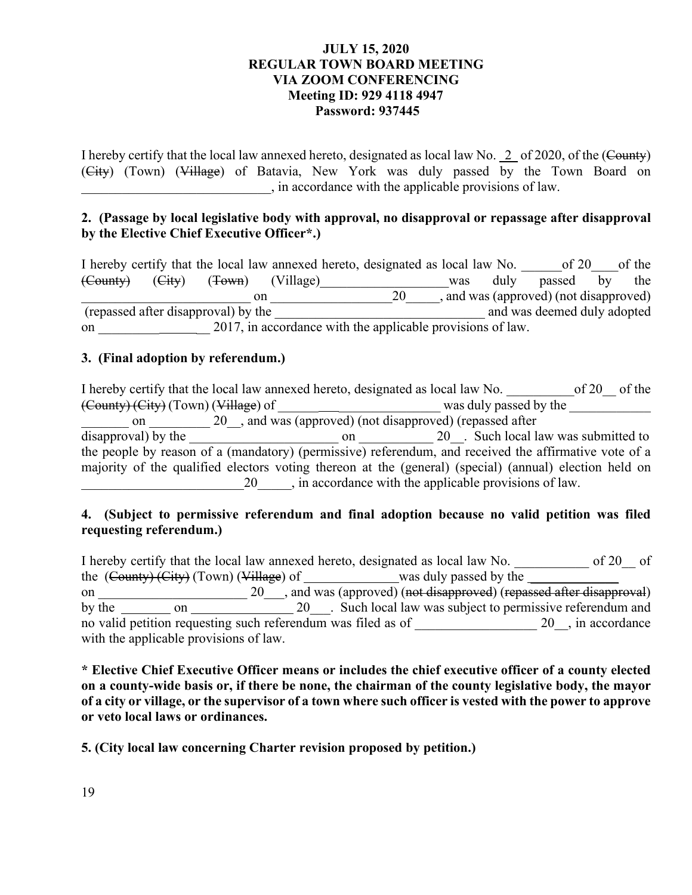I hereby certify that the local law annexed hereto, designated as local law No. 2 of 2020, of the (County) (City) (Town) (Village) of Batavia, New York was duly passed by the Town Board on \_\_\_\_\_\_\_\_\_\_\_\_\_\_\_\_\_\_\_\_\_\_\_\_\_\_\_\_, in accordance with the applicable provisions of law.

# **2. (Passage by local legislative body with approval, no disapproval or repassage after disapproval by the Elective Chief Executive Officer\*.)**

|                                                                  |        | I hereby certify that the local law annexed hereto, designated as local law No. |  |  |    |                             |      | of 20                                |    | of the |
|------------------------------------------------------------------|--------|---------------------------------------------------------------------------------|--|--|----|-----------------------------|------|--------------------------------------|----|--------|
| (County)                                                         | (Eity) | ( <del>Town</del> ) (Village)                                                   |  |  |    | was                         | duly | passed                               | by | the    |
|                                                                  |        | on                                                                              |  |  | 20 |                             |      | and was (approved) (not disapproved) |    |        |
| (repassed after disapproval) by the                              |        |                                                                                 |  |  |    | and was deemed duly adopted |      |                                      |    |        |
| 2017, in accordance with the applicable provisions of law.<br>on |        |                                                                                 |  |  |    |                             |      |                                      |    |        |

## **3. (Final adoption by referendum.)**

I hereby certify that the local law annexed hereto, designated as local law No.  $10^{10}$  of 20  $10^{10}$  of the (County) (City) (Town) (Village) of \_\_\_\_\_\_ \_\_\_\_\_\_\_\_\_\_\_\_\_\_\_ was duly passed by the \_\_\_\_\_\_\_\_\_\_\_\_ on \_\_\_\_\_\_\_ 20\_, and was (approved) (not disapproved) (repassed after disapproval) by the \_\_\_\_\_\_\_\_\_\_\_\_\_\_\_\_\_\_\_\_\_\_ on \_\_\_\_\_\_\_\_\_\_\_ 20\_\_. Such local law was submitted to the people by reason of a (mandatory) (permissive) referendum, and received the affirmative vote of a majority of the qualified electors voting thereon at the (general) (special) (annual) election held on 20  $\ldots$ , in accordance with the applicable provisions of law.

# **4. (Subject to permissive referendum and final adoption because no valid petition was filed requesting referendum.)**

I hereby certify that the local law annexed hereto, designated as local law No. \_\_\_\_\_\_\_\_\_\_\_ of 20\_\_ of the  $(\text{Country})$  (City) (Town) (Village) of was duly passed by the was duly passed by the was duly passed by the was duly passed by the was duly passed by the was duly passed by the was duly passed by the was duly passed by th on \_\_\_\_\_\_\_\_\_\_\_\_\_\_\_\_\_\_\_\_\_\_ 20\_\_\_, and was (approved) (not disapproved) (repassed after disapproval) by the on 20\_\_\_. Such local law was subject to permissive referendum and no valid petition requesting such referendum was filed as of 20 , in accordance with the applicable provisions of law.

**\* Elective Chief Executive Officer means or includes the chief executive officer of a county elected on a county-wide basis or, if there be none, the chairman of the county legislative body, the mayor of a city or village, or the supervisor of a town where such officer is vested with the power to approve or veto local laws or ordinances.** 

**5. (City local law concerning Charter revision proposed by petition.)**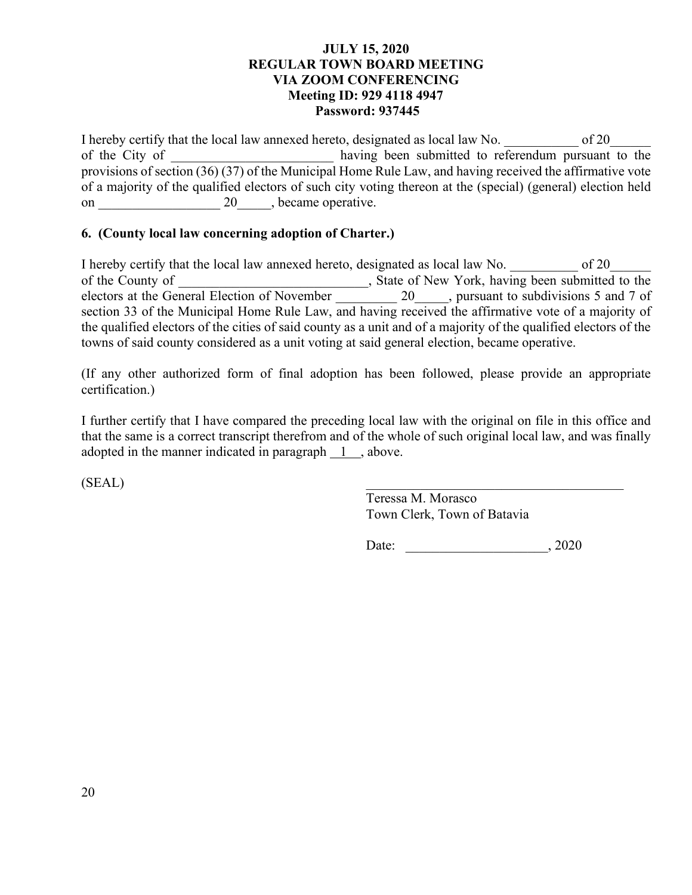I hereby certify that the local law annexed hereto, designated as local law No.  $\qquad \qquad$  of 20 of the City of  $\qquad \qquad$  having been submitted to referendum pursuant to the provisions of section (36) (37) of the Municipal Home Rule Law, and having received the affirmative vote of a majority of the qualified electors of such city voting thereon at the (special) (general) election held on \_\_\_\_\_\_\_\_\_\_\_\_\_\_\_\_\_\_ 20\_\_\_\_\_, became operative.

# **6. (County local law concerning adoption of Charter.)**

I hereby certify that the local law annexed hereto, designated as local law No.  $\qquad \qquad$  of 20 of the County of \_\_\_\_\_\_\_\_\_\_\_\_\_\_\_\_\_\_\_\_\_\_\_\_\_, State of New York, having been submitted to the electors at the General Election of November 20 \_\_\_\_\_, pursuant to subdivisions 5 and 7 of section 33 of the Municipal Home Rule Law, and having received the affirmative vote of a majority of the qualified electors of the cities of said county as a unit and of a majority of the qualified electors of the towns of said county considered as a unit voting at said general election, became operative.

(If any other authorized form of final adoption has been followed, please provide an appropriate certification.)

I further certify that I have compared the preceding local law with the original on file in this office and that the same is a correct transcript therefrom and of the whole of such original local law, and was finally adopted in the manner indicated in paragraph 1, above.

 $(SEAL)$ 

Teressa M. Morasco Town Clerk, Town of Batavia

Date: \_\_\_\_\_\_\_\_\_\_\_\_\_\_\_\_\_\_\_\_\_, 2020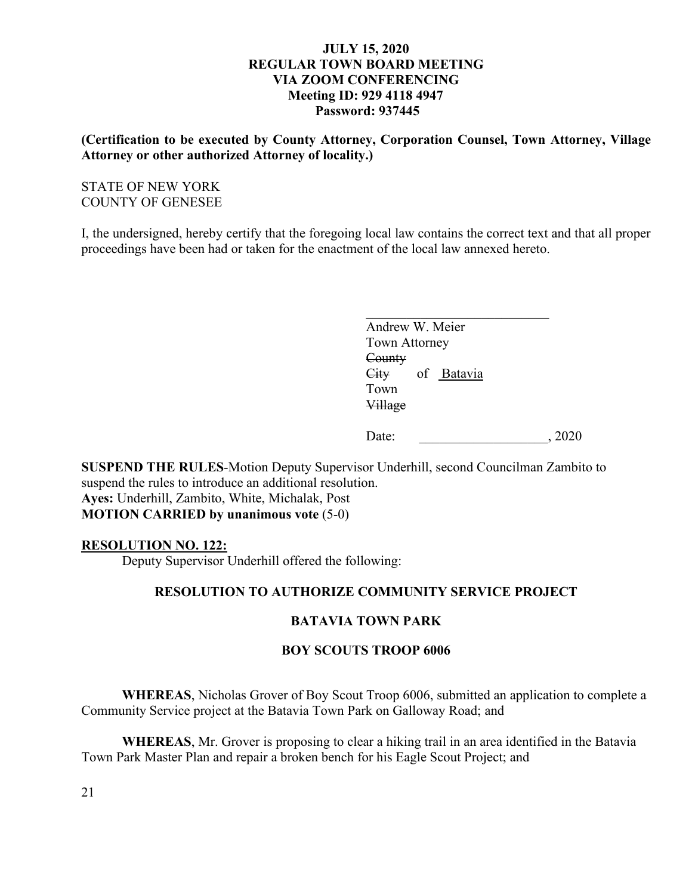**(Certification to be executed by County Attorney, Corporation Counsel, Town Attorney, Village Attorney or other authorized Attorney of locality.)** 

# STATE OF NEW YORK COUNTY OF GENESEE

I, the undersigned, hereby certify that the foregoing local law contains the correct text and that all proper proceedings have been had or taken for the enactment of the local law annexed hereto.

| Andrew W. Meier    |      |
|--------------------|------|
| Town Attorney      |      |
| County             |      |
| of Batavia<br>City |      |
| Town               |      |
| Village            |      |
|                    |      |
| Date:              | 2020 |
|                    |      |

**SUSPEND THE RULES**-Motion Deputy Supervisor Underhill, second Councilman Zambito to suspend the rules to introduce an additional resolution. **Ayes:** Underhill, Zambito, White, Michalak, Post **MOTION CARRIED by unanimous vote** (5-0)

## **RESOLUTION NO. 122:**

Deputy Supervisor Underhill offered the following:

# **RESOLUTION TO AUTHORIZE COMMUNITY SERVICE PROJECT**

## **BATAVIA TOWN PARK**

## **BOY SCOUTS TROOP 6006**

**WHEREAS**, Nicholas Grover of Boy Scout Troop 6006, submitted an application to complete a Community Service project at the Batavia Town Park on Galloway Road; and

**WHEREAS**, Mr. Grover is proposing to clear a hiking trail in an area identified in the Batavia Town Park Master Plan and repair a broken bench for his Eagle Scout Project; and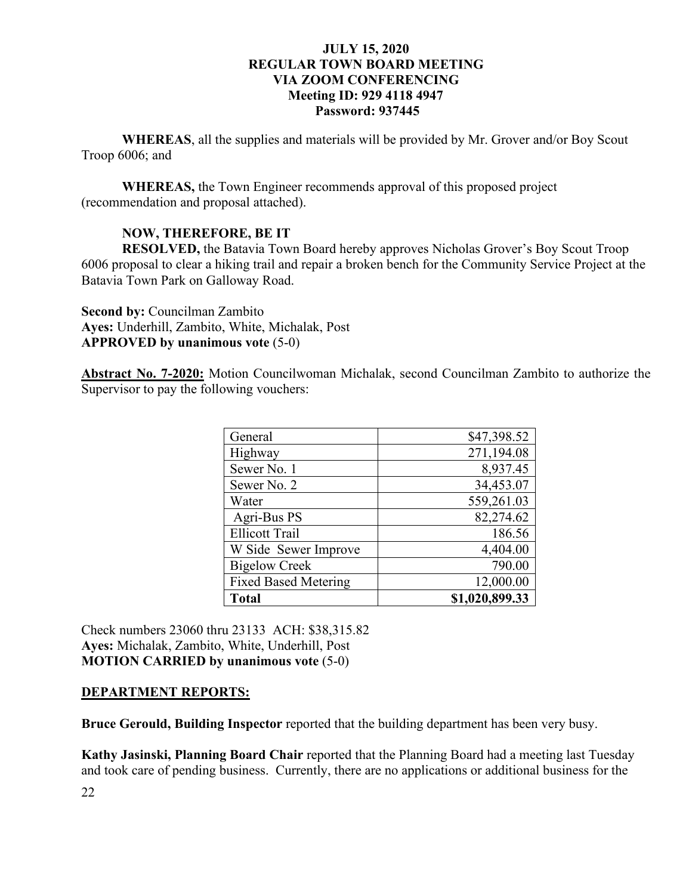**WHEREAS**, all the supplies and materials will be provided by Mr. Grover and/or Boy Scout Troop 6006; and

**WHEREAS,** the Town Engineer recommends approval of this proposed project (recommendation and proposal attached).

# **NOW, THEREFORE, BE IT**

**RESOLVED,** the Batavia Town Board hereby approves Nicholas Grover's Boy Scout Troop 6006 proposal to clear a hiking trail and repair a broken bench for the Community Service Project at the Batavia Town Park on Galloway Road.

**Second by:** Councilman Zambito **Ayes:** Underhill, Zambito, White, Michalak, Post **APPROVED by unanimous vote** (5-0)

**Abstract No. 7-2020:** Motion Councilwoman Michalak, second Councilman Zambito to authorize the Supervisor to pay the following vouchers:

| General                     | \$47,398.52    |
|-----------------------------|----------------|
| Highway                     | 271,194.08     |
| Sewer No. 1                 | 8,937.45       |
| Sewer No. 2                 | 34,453.07      |
| Water                       | 559,261.03     |
| Agri-Bus PS                 | 82,274.62      |
| <b>Ellicott Trail</b>       | 186.56         |
| W Side Sewer Improve        | 4,404.00       |
| <b>Bigelow Creek</b>        | 790.00         |
| <b>Fixed Based Metering</b> | 12,000.00      |
| <b>Total</b>                | \$1,020,899.33 |

Check numbers 23060 thru 23133 ACH: \$38,315.82 **Ayes:** Michalak, Zambito, White, Underhill, Post **MOTION CARRIED by unanimous vote** (5-0)

## **DEPARTMENT REPORTS:**

**Bruce Gerould, Building Inspector** reported that the building department has been very busy.

**Kathy Jasinski, Planning Board Chair** reported that the Planning Board had a meeting last Tuesday and took care of pending business. Currently, there are no applications or additional business for the

22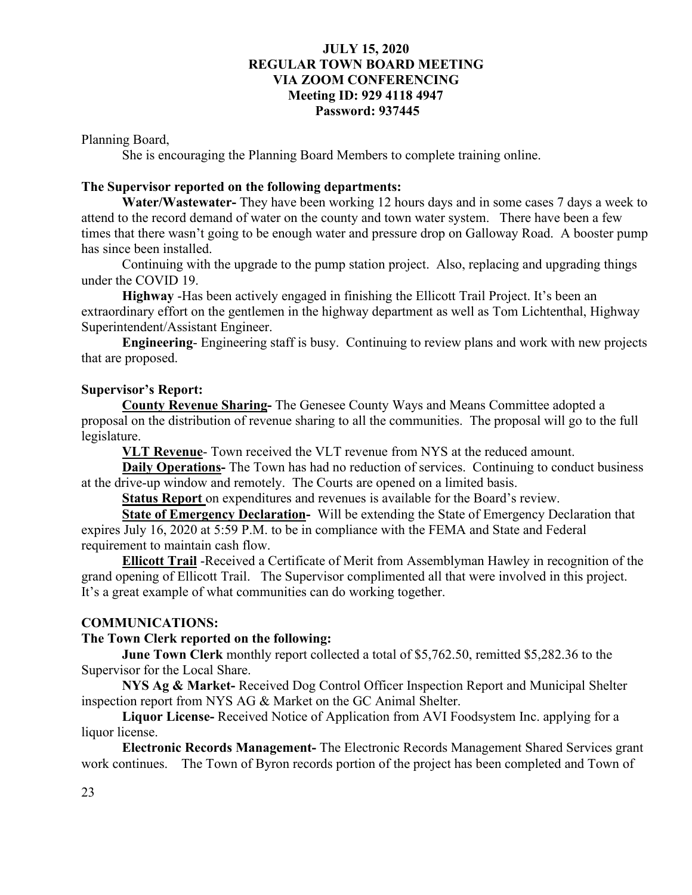Planning Board,

She is encouraging the Planning Board Members to complete training online.

# **The Supervisor reported on the following departments:**

**Water/Wastewater-** They have been working 12 hours days and in some cases 7 days a week to attend to the record demand of water on the county and town water system. There have been a few times that there wasn't going to be enough water and pressure drop on Galloway Road. A booster pump has since been installed.

 Continuing with the upgrade to the pump station project. Also, replacing and upgrading things under the COVID 19.

**Highway** -Has been actively engaged in finishing the Ellicott Trail Project. It's been an extraordinary effort on the gentlemen in the highway department as well as Tom Lichtenthal, Highway Superintendent/Assistant Engineer.

**Engineering**- Engineering staff is busy. Continuing to review plans and work with new projects that are proposed.

### **Supervisor's Report:**

**County Revenue Sharing-** The Genesee County Ways and Means Committee adopted a proposal on the distribution of revenue sharing to all the communities. The proposal will go to the full legislature.

**VLT Revenue**- Town received the VLT revenue from NYS at the reduced amount.

**Daily Operations-** The Town has had no reduction of services. Continuing to conduct business at the drive-up window and remotely. The Courts are opened on a limited basis.

**Status Report** on expenditures and revenues is available for the Board's review.

**State of Emergency Declaration-** Will be extending the State of Emergency Declaration that expires July 16, 2020 at 5:59 P.M. to be in compliance with the FEMA and State and Federal requirement to maintain cash flow.

**Ellicott Trail** -Received a Certificate of Merit from Assemblyman Hawley in recognition of the grand opening of Ellicott Trail. The Supervisor complimented all that were involved in this project. It's a great example of what communities can do working together.

## **COMMUNICATIONS:**

## **The Town Clerk reported on the following:**

**June Town Clerk** monthly report collected a total of \$5,762.50, remitted \$5,282.36 to the Supervisor for the Local Share.

**NYS Ag & Market-** Received Dog Control Officer Inspection Report and Municipal Shelter inspection report from NYS AG & Market on the GC Animal Shelter.

**Liquor License-** Received Notice of Application from AVI Foodsystem Inc. applying for a liquor license.

**Electronic Records Management-** The Electronic Records Management Shared Services grant work continues. The Town of Byron records portion of the project has been completed and Town of